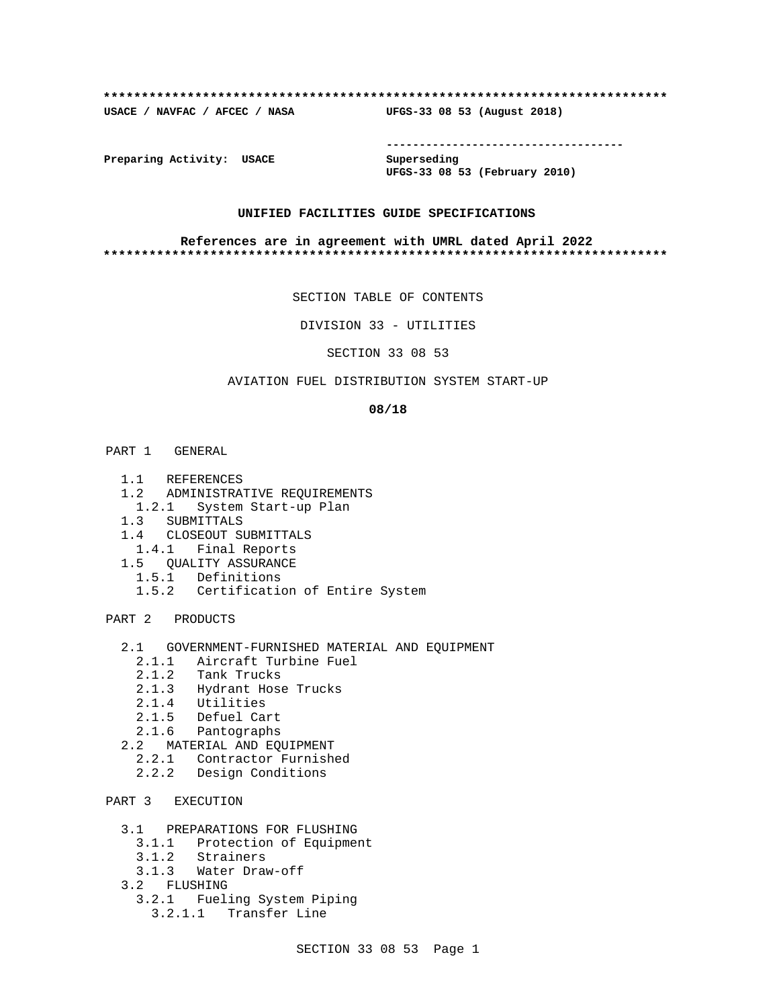### **\*\*\*\*\*\*\*\*\*\*\*\*\*\*\*\*\*\*\*\*\*\*\*\*\*\*\*\*\*\*\*\*\*\*\*\*\*\*\*\*\*\*\*\*\*\*\*\*\*\*\*\*\*\*\*\*\*\*\*\*\*\*\*\*\*\*\*\*\*\*\*\*\*\***

**USACE / NAVFAC / AFCEC / NASA UFGS-33 08 53 (August 2018)**

**------------------------------------**

**Preparing Activity: USACE Superseding**

**UFGS-33 08 53 (February 2010)**

### **UNIFIED FACILITIES GUIDE SPECIFICATIONS**

### **References are in agreement with UMRL dated April 2022 \*\*\*\*\*\*\*\*\*\*\*\*\*\*\*\*\*\*\*\*\*\*\*\*\*\*\*\*\*\*\*\*\*\*\*\*\*\*\*\*\*\*\*\*\*\*\*\*\*\*\*\*\*\*\*\*\*\*\*\*\*\*\*\*\*\*\*\*\*\*\*\*\*\***

SECTION TABLE OF CONTENTS

DIVISION 33 - UTILITIES

SECTION 33 08 53

## AVIATION FUEL DISTRIBUTION SYSTEM START-UP

### **08/18**

- PART 1 GENERAL
	- 1.1 REFERENCES
	- 1.2 ADMINISTRATIVE REQUIREMENTS
	- 1.2.1 System Start-up Plan
	- 1.3 SUBMITTALS
	- 1.4 CLOSEOUT SUBMITTALS
	- 1.4.1 Final Reports
	- 1.5 QUALITY ASSURANCE
	- 1.5.1 Definitions
		- 1.5.2 Certification of Entire System

PART 2 PRODUCTS

- 2.1 GOVERNMENT-FURNISHED MATERIAL AND EQUIPMENT
	- 2.1.1 Aircraft Turbine Fuel
	- 2.1.2 Tank Trucks
	- 2.1.3 Hydrant Hose Trucks
	- 2.1.4 Utilities
	- 2.1.5 Defuel Cart
	- 2.1.6 Pantographs
- 2.2 MATERIAL AND EQUIPMENT
- 2.2.1 Contractor Furnished
- 2.2.2 Design Conditions

# PART 3 EXECUTION

- 3.1 PREPARATIONS FOR FLUSHING
	- 3.1.1 Protection of Equipment
	- 3.1.2 Strainers
	- 3.1.3 Water Draw-off
- 3.2 FLUSHING
	- 3.2.1 Fueling System Piping
		- 3.2.1.1 Transfer Line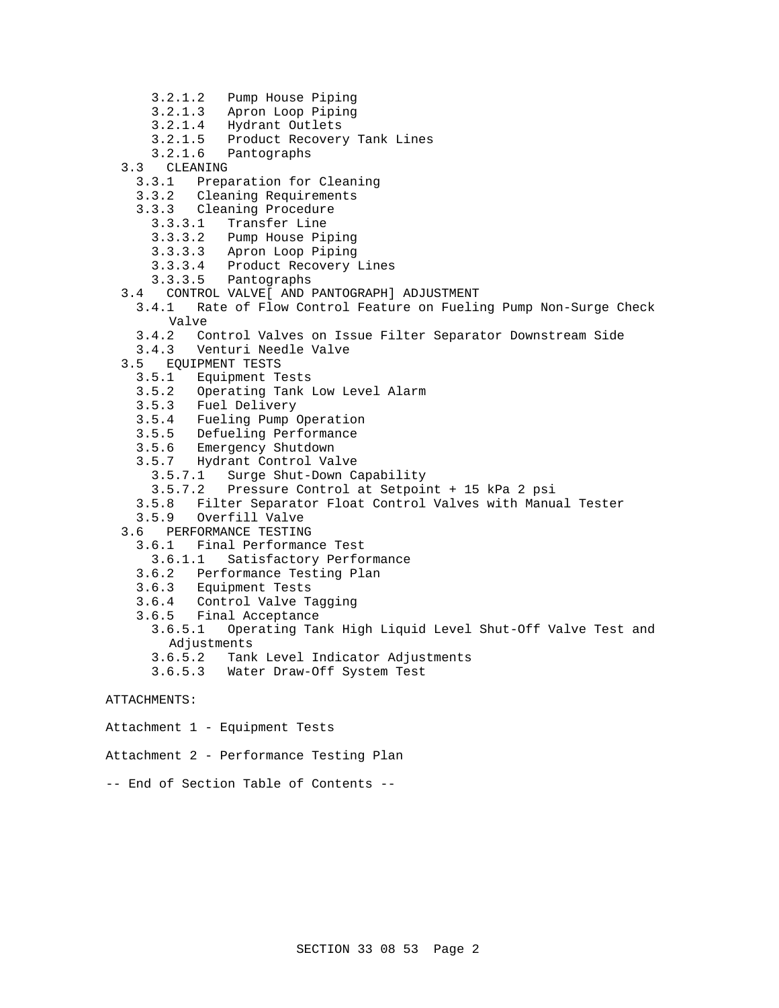- 3.2.1.2 Pump House Piping
- 3.2.1.3 Apron Loop Piping
- 3.2.1.4 Hydrant Outlets
- 3.2.1.5 Product Recovery Tank Lines
- 3.2.1.6 Pantographs
- 3.3 CLEANING
	- 3.3.1 Preparation for Cleaning
	- 3.3.2 Cleaning Requirements
	- 3.3.3 Cleaning Procedure
		- Transfer Line
		- 3.3.3.2 Pump House Piping
		- 3.3.3.3 Apron Loop Piping
		- 3.3.3.4 Product Recovery Lines
		- 3.3.3.5 Pantographs
- 3.4 CONTROL VALVE[ AND PANTOGRAPH] ADJUSTMENT
- 3.4.1 Rate of Flow Control Feature on Fueling Pump Non-Surge Check Valve
	- 3.4.2 Control Valves on Issue Filter Separator Downstream Side
- 3.4.3 Venturi Needle Valve
- 3.5 EQUIPMENT TESTS
	- 3.5.1 Equipment Tests
	- 3.5.2 Operating Tank Low Level Alarm
	- 3.5.3 Fuel Delivery
	- 3.5.4 Fueling Pump Operation
	- 3.5.5 Defueling Performance
	- 3.5.6 Emergency Shutdown
	- 3.5.7 Hydrant Control Valve
		- 3.5.7.1 Surge Shut-Down Capability
		- 3.5.7.2 Pressure Control at Setpoint + 15 kPa 2 psi
	- 3.5.8 Filter Separator Float Control Valves with Manual Tester
	- 3.5.9 Overfill Valve
- 3.6 PERFORMANCE TESTING
- 3.6.1 Final Performance Test
	- 3.6.1.1 Satisfactory Performance
	- 3.6.2 Performance Testing Plan
- 3.6.3 Equipment Tests
- 3.6.4 Control Valve Tagging
- 3.6.5 Final Acceptance
	- 3.6.5.1 Operating Tank High Liquid Level Shut-Off Valve Test and Adjustments
	- 3.6.5.2 Tank Level Indicator Adjustments
	- 3.6.5.3 Water Draw-Off System Test

# ATTACHMENTS:

Attachment 1 - Equipment Tests

Attachment 2 - Performance Testing Plan

-- End of Section Table of Contents --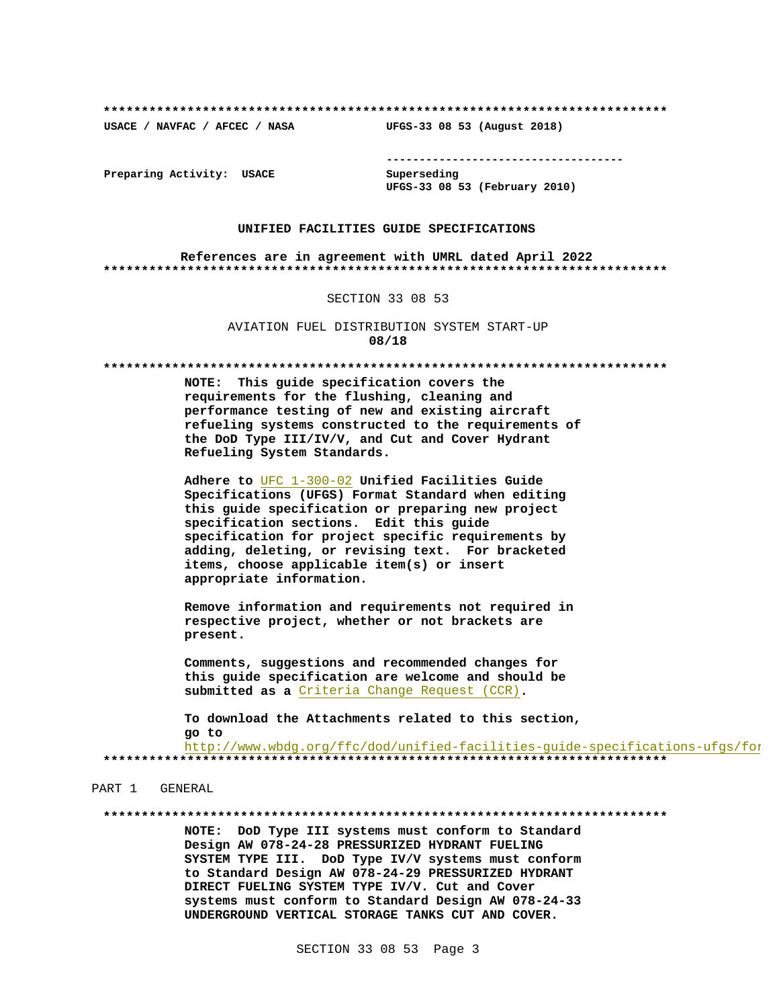USACE / NAVFAC / AFCEC / NASA

--------------------------------------

Preparing Activity: USACE

Superseding UFGS-33 08 53 (February 2010)

UFGS-33 08 53 (August 2018)

### UNIFIED FACILITIES GUIDE SPECIFICATIONS

References are in agreement with UMRL dated April 2022 

### SECTION 33 08 53

AVIATION FUEL DISTRIBUTION SYSTEM START-UP 08/18

NOTE: This guide specification covers the requirements for the flushing, cleaning and performance testing of new and existing aircraft refueling systems constructed to the requirements of the DoD Type III/IV/V, and Cut and Cover Hydrant Refueling System Standards.

Adhere to UFC 1-300-02 Unified Facilities Guide Specifications (UFGS) Format Standard when editing this guide specification or preparing new project specification sections. Edit this guide specification for project specific requirements by adding, deleting, or revising text. For bracketed items, choose applicable item(s) or insert appropriate information.

Remove information and requirements not required in respective project, whether or not brackets are present.

Comments, suggestions and recommended changes for this guide specification are welcome and should be submitted as a Criteria Change Request (CCR).

To download the Attachments related to this section, go to http://www.wbdg.org/ffc/dod/unified-facilities-guide-specifications-ufgs/for

PART 1 GENERAL

NOTE: DoD Type III systems must conform to Standard Design AW 078-24-28 PRESSURIZED HYDRANT FUELING SYSTEM TYPE III. DoD Type IV/V systems must conform to Standard Design AW 078-24-29 PRESSURIZED HYDRANT DIRECT FUELING SYSTEM TYPE IV/V. Cut and Cover systems must conform to Standard Design AW 078-24-33 UNDERGROUND VERTICAL STORAGE TANKS CUT AND COVER.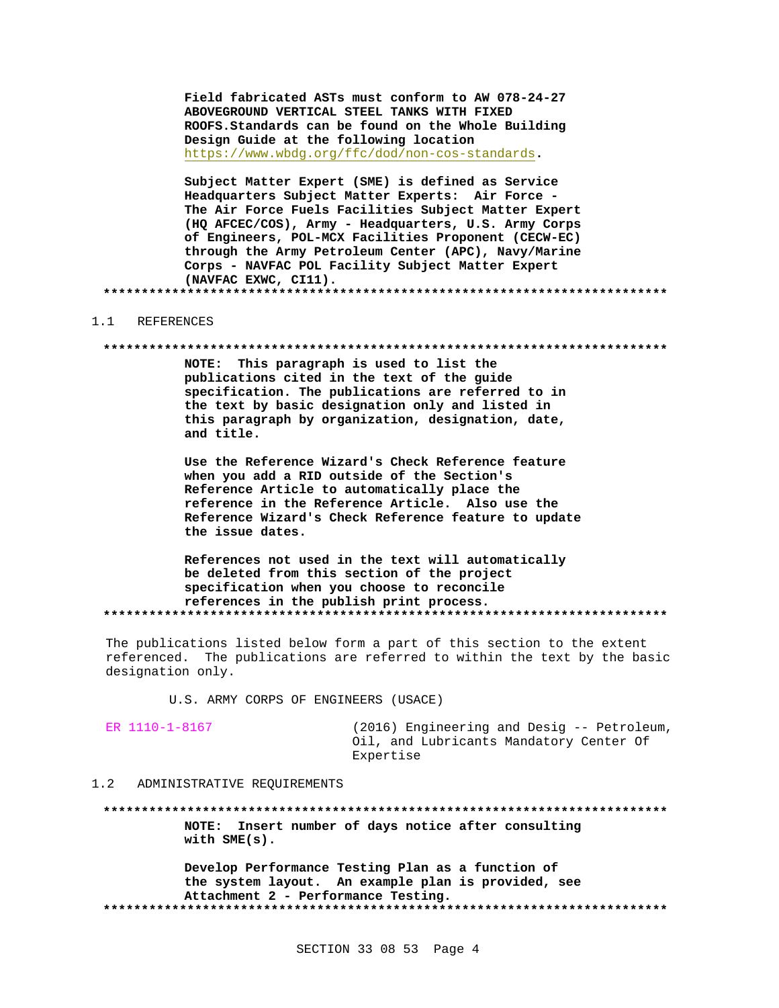Field fabricated ASTs must conform to AW 078-24-27 ABOVEGROUND VERTICAL STEEL TANKS WITH FIXED ROOFS. Standards can be found on the Whole Building Design Guide at the following location https://www.wbdg.org/ffc/dod/non-cos-standards.

Subject Matter Expert (SME) is defined as Service Headquarters Subject Matter Experts: Air Force -The Air Force Fuels Facilities Subject Matter Expert (HQ AFCEC/COS), Army - Headquarters, U.S. Army Corps of Engineers, POL-MCX Facilities Proponent (CECW-EC) through the Army Petroleum Center (APC), Navy/Marine Corps - NAVFAC POL Facility Subject Matter Expert (NAVFAC EXWC, CI11). 

#### $1.1$ REFERENCES

### 

NOTE: This paragraph is used to list the publications cited in the text of the guide specification. The publications are referred to in the text by basic designation only and listed in this paragraph by organization, designation, date, and title.

Use the Reference Wizard's Check Reference feature when you add a RID outside of the Section's Reference Article to automatically place the reference in the Reference Article. Also use the Reference Wizard's Check Reference feature to update the issue dates.

References not used in the text will automatically be deleted from this section of the project specification when you choose to reconcile references in the publish print process. 

The publications listed below form a part of this section to the extent referenced. The publications are referred to within the text by the basic designation only.

U.S. ARMY CORPS OF ENGINEERS (USACE)

(2016) Engineering and Desig -- Petroleum, Oil, and Lubricants Mandatory Center Of Expertise

#### $1.2$ ADMINISTRATIVE REQUIREMENTS

NOTE: Insert number of days notice after consulting with  $SME(s)$ .

Develop Performance Testing Plan as a function of the system layout. An example plan is provided, see Attachment 2 - Performance Testing.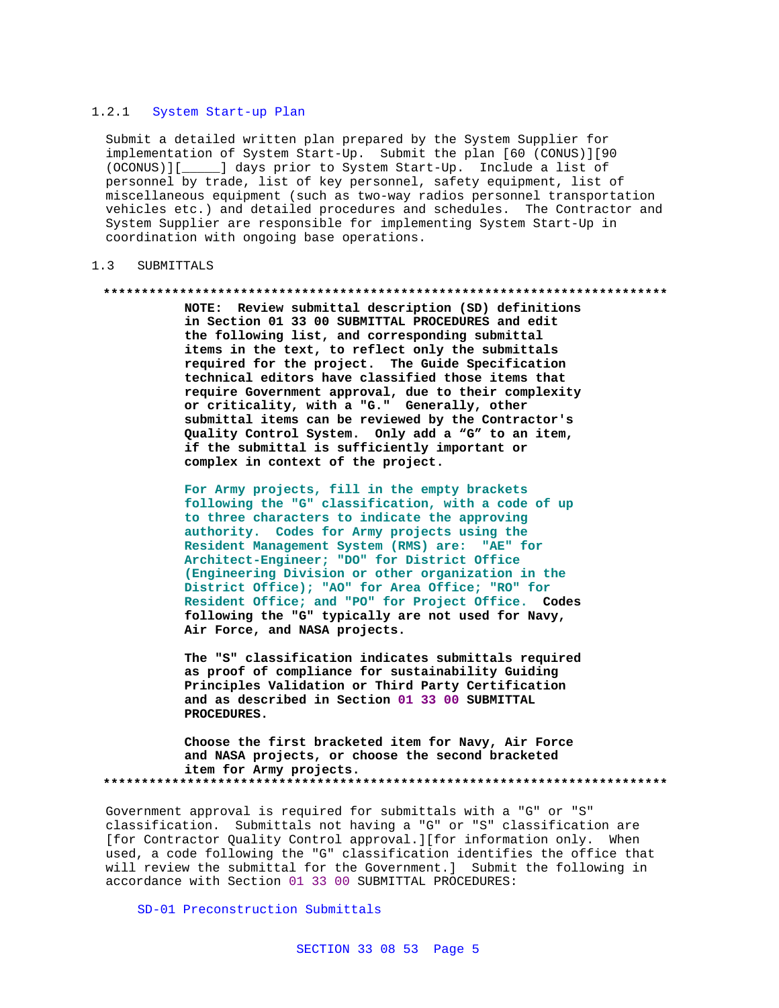## 1.2.1 System Start-up Plan

Submit a detailed written plan prepared by the System Supplier for implementation of System Start-Up. Submit the plan [60 (CONUS)][90 (OCONUS)][\_\_\_\_\_] days prior to System Start-Up. Include a list of personnel by trade, list of key personnel, safety equipment, list of miscellaneous equipment (such as two-way radios personnel transportation vehicles etc.) and detailed procedures and schedules. The Contractor and System Supplier are responsible for implementing System Start-Up in coordination with ongoing base operations.

### 1.3 SUBMITTALS

### **\*\*\*\*\*\*\*\*\*\*\*\*\*\*\*\*\*\*\*\*\*\*\*\*\*\*\*\*\*\*\*\*\*\*\*\*\*\*\*\*\*\*\*\*\*\*\*\*\*\*\*\*\*\*\*\*\*\*\*\*\*\*\*\*\*\*\*\*\*\*\*\*\*\***

**NOTE: Review submittal description (SD) definitions in Section 01 33 00 SUBMITTAL PROCEDURES and edit the following list, and corresponding submittal items in the text, to reflect only the submittals required for the project. The Guide Specification technical editors have classified those items that require Government approval, due to their complexity or criticality, with a "G." Generally, other submittal items can be reviewed by the Contractor's Quality Control System. Only add a "G" to an item, if the submittal is sufficiently important or complex in context of the project.**

**For Army projects, fill in the empty brackets following the "G" classification, with a code of up to three characters to indicate the approving authority. Codes for Army projects using the Resident Management System (RMS) are: "AE" for Architect-Engineer; "DO" for District Office (Engineering Division or other organization in the District Office); "AO" for Area Office; "RO" for Resident Office; and "PO" for Project Office. Codes following the "G" typically are not used for Navy, Air Force, and NASA projects.**

**The "S" classification indicates submittals required as proof of compliance for sustainability Guiding Principles Validation or Third Party Certification and as described in Section 01 33 00 SUBMITTAL PROCEDURES.**

**Choose the first bracketed item for Navy, Air Force and NASA projects, or choose the second bracketed item for Army projects. \*\*\*\*\*\*\*\*\*\*\*\*\*\*\*\*\*\*\*\*\*\*\*\*\*\*\*\*\*\*\*\*\*\*\*\*\*\*\*\*\*\*\*\*\*\*\*\*\*\*\*\*\*\*\*\*\*\*\*\*\*\*\*\*\*\*\*\*\*\*\*\*\*\***

Government approval is required for submittals with a "G" or "S" classification. Submittals not having a "G" or "S" classification are [for Contractor Quality Control approval.][for information only. When used, a code following the "G" classification identifies the office that will review the submittal for the Government.] Submit the following in accordance with Section 01 33 00 SUBMITTAL PROCEDURES:

SD-01 Preconstruction Submittals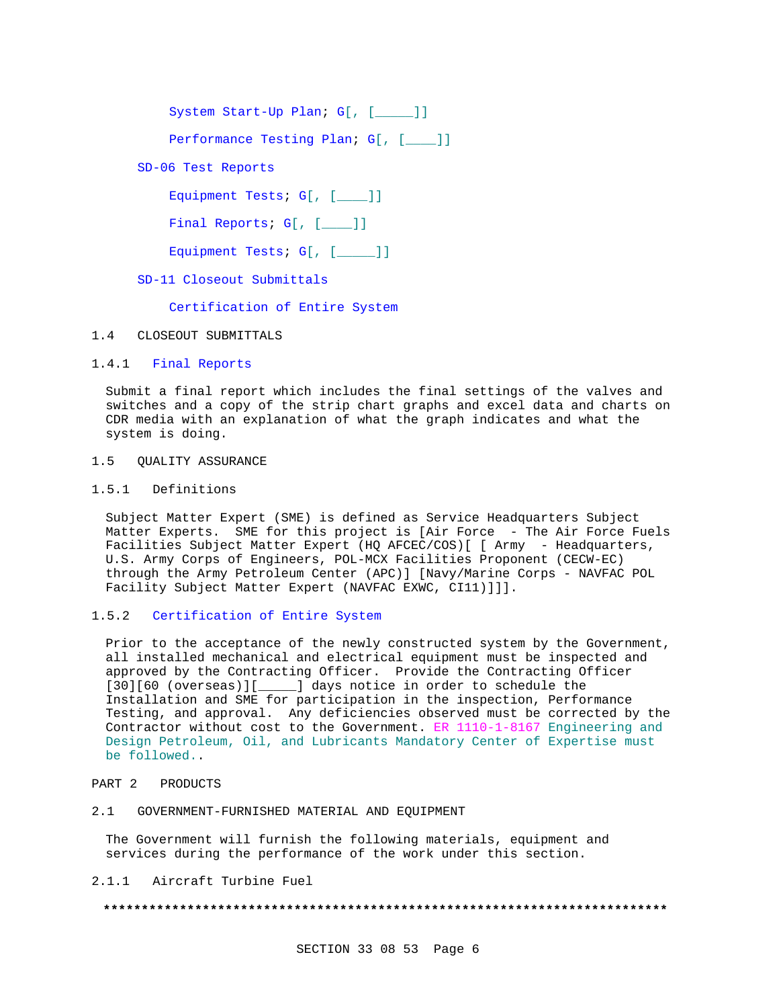System Start-Up Plan; G[, [\_\_\_\_\_]]

Performance Testing Plan; G[, [\_\_\_]]

SD-06 Test Reports

Equipment Tests; G[, [\_\_\_]]

Final Reports; G[, [\_\_\_ ]]

Equipment Tests; G[, [\_\_\_\_]]

SD-11 Closeout Submittals

Certification of Entire System

### 1.4 CLOSEOUT SUBMITTALS

### 1.4.1 Final Reports

Submit a final report which includes the final settings of the valves and switches and a copy of the strip chart graphs and excel data and charts on CDR media with an explanation of what the graph indicates and what the system is doing.

### 1.5 QUALITY ASSURANCE

### 1.5.1 Definitions

Subject Matter Expert (SME) is defined as Service Headquarters Subject Matter Experts. SME for this project is [Air Force - The Air Force Fuels Facilities Subject Matter Expert (HQ AFCEC/COS) [ [ Army - Headquarters, U.S. Army Corps of Engineers, POL-MCX Facilities Proponent (CECW-EC) through the Army Petroleum Center (APC)] [Navy/Marine Corps - NAVFAC POL Facility Subject Matter Expert (NAVFAC EXWC, CI11)]]].

### 1.5.2 Certification of Entire System

Prior to the acceptance of the newly constructed system by the Government, all installed mechanical and electrical equipment must be inspected and approved by the Contracting Officer. Provide the Contracting Officer [30][60 (overseas)][\_\_\_\_\_] days notice in order to schedule the Installation and SME for participation in the inspection, Performance Testing, and approval. Any deficiencies observed must be corrected by the Contractor without cost to the Government. ER 1110-1-8167 Engineering and Design Petroleum, Oil, and Lubricants Mandatory Center of Expertise must be followed..

### PART 2 PRODUCTS

### 2.1 GOVERNMENT-FURNISHED MATERIAL AND EQUIPMENT

The Government will furnish the following materials, equipment and services during the performance of the work under this section.

## 2.1.1 Aircraft Turbine Fuel

### **\*\*\*\*\*\*\*\*\*\*\*\*\*\*\*\*\*\*\*\*\*\*\*\*\*\*\*\*\*\*\*\*\*\*\*\*\*\*\*\*\*\*\*\*\*\*\*\*\*\*\*\*\*\*\*\*\*\*\*\*\*\*\*\*\*\*\*\*\*\*\*\*\*\***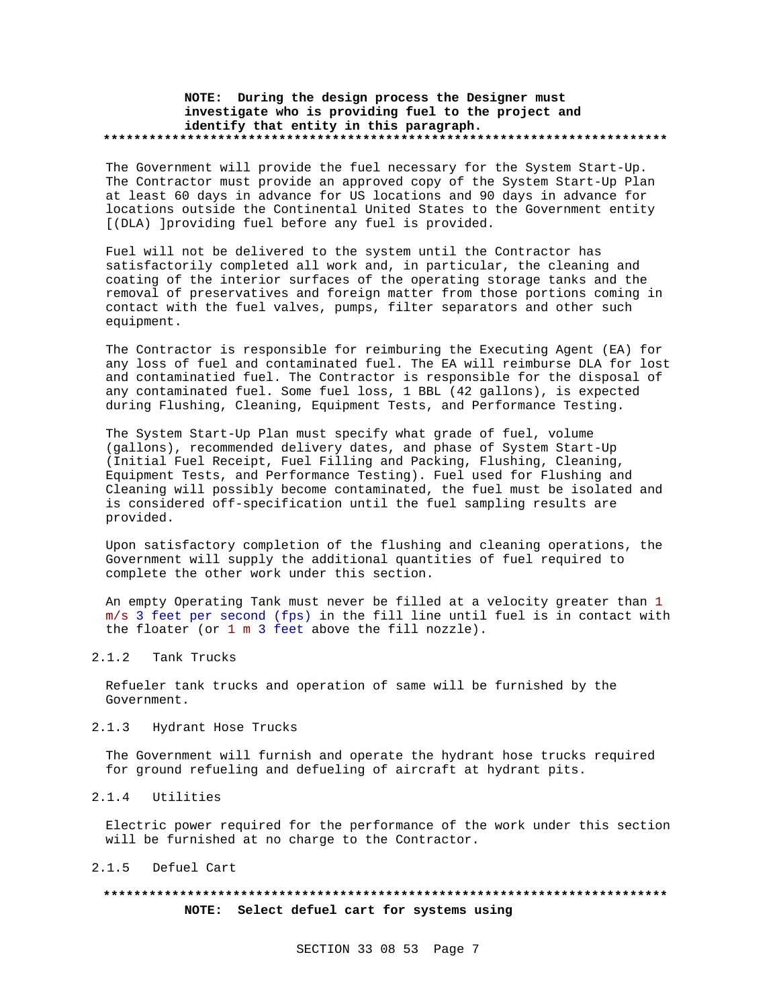### **NOTE: During the design process the Designer must investigate who is providing fuel to the project and identify that entity in this paragraph. \*\*\*\*\*\*\*\*\*\*\*\*\*\*\*\*\*\*\*\*\*\*\*\*\*\*\*\*\*\*\*\*\*\*\*\*\*\*\*\*\*\*\*\*\*\*\*\*\*\*\*\*\*\*\*\*\*\*\*\*\*\*\*\*\*\*\*\*\*\*\*\*\*\***

The Government will provide the fuel necessary for the System Start-Up. The Contractor must provide an approved copy of the System Start-Up Plan at least 60 days in advance for US locations and 90 days in advance for locations outside the Continental United States to the Government entity [(DLA) ]providing fuel before any fuel is provided.

Fuel will not be delivered to the system until the Contractor has satisfactorily completed all work and, in particular, the cleaning and coating of the interior surfaces of the operating storage tanks and the removal of preservatives and foreign matter from those portions coming in contact with the fuel valves, pumps, filter separators and other such equipment.

The Contractor is responsible for reimburing the Executing Agent (EA) for any loss of fuel and contaminated fuel. The EA will reimburse DLA for lost and contaminatied fuel. The Contractor is responsible for the disposal of any contaminated fuel. Some fuel loss, 1 BBL (42 gallons), is expected during Flushing, Cleaning, Equipment Tests, and Performance Testing.

The System Start-Up Plan must specify what grade of fuel, volume (gallons), recommended delivery dates, and phase of System Start-Up (Initial Fuel Receipt, Fuel Filling and Packing, Flushing, Cleaning, Equipment Tests, and Performance Testing). Fuel used for Flushing and Cleaning will possibly become contaminated, the fuel must be isolated and is considered off-specification until the fuel sampling results are provided.

Upon satisfactory completion of the flushing and cleaning operations, the Government will supply the additional quantities of fuel required to complete the other work under this section.

An empty Operating Tank must never be filled at a velocity greater than 1 m/s 3 feet per second (fps) in the fill line until fuel is in contact with the floater (or 1 m 3 feet above the fill nozzle).

# 2.1.2 Tank Trucks

Refueler tank trucks and operation of same will be furnished by the Government.

## 2.1.3 Hydrant Hose Trucks

The Government will furnish and operate the hydrant hose trucks required for ground refueling and defueling of aircraft at hydrant pits.

### 2.1.4 Utilities

Electric power required for the performance of the work under this section will be furnished at no charge to the Contractor.

2.1.5 Defuel Cart

# **\*\*\*\*\*\*\*\*\*\*\*\*\*\*\*\*\*\*\*\*\*\*\*\*\*\*\*\*\*\*\*\*\*\*\*\*\*\*\*\*\*\*\*\*\*\*\*\*\*\*\*\*\*\*\*\*\*\*\*\*\*\*\*\*\*\*\*\*\*\*\*\*\*\* NOTE: Select defuel cart for systems using**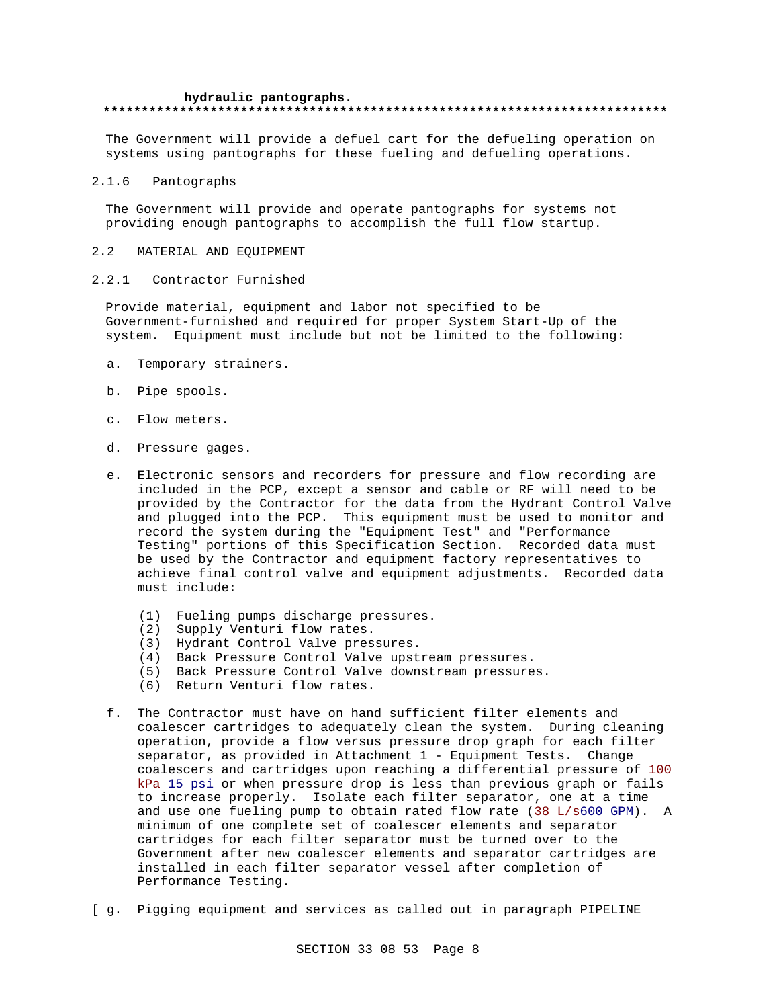## **hydraulic pantographs. \*\*\*\*\*\*\*\*\*\*\*\*\*\*\*\*\*\*\*\*\*\*\*\*\*\*\*\*\*\*\*\*\*\*\*\*\*\*\*\*\*\*\*\*\*\*\*\*\*\*\*\*\*\*\*\*\*\*\*\*\*\*\*\*\*\*\*\*\*\*\*\*\*\***

The Government will provide a defuel cart for the defueling operation on systems using pantographs for these fueling and defueling operations.

### 2.1.6 Pantographs

The Government will provide and operate pantographs for systems not providing enough pantographs to accomplish the full flow startup.

### 2.2 MATERIAL AND EQUIPMENT

2.2.1 Contractor Furnished

Provide material, equipment and labor not specified to be Government-furnished and required for proper System Start-Up of the system. Equipment must include but not be limited to the following:

- a. Temporary strainers.
- b. Pipe spools.
- c. Flow meters.
- d. Pressure gages.
- e. Electronic sensors and recorders for pressure and flow recording are included in the PCP, except a sensor and cable or RF will need to be provided by the Contractor for the data from the Hydrant Control Valve and plugged into the PCP. This equipment must be used to monitor and record the system during the "Equipment Test" and "Performance Testing" portions of this Specification Section. Recorded data must be used by the Contractor and equipment factory representatives to achieve final control valve and equipment adjustments. Recorded data must include:
	- (1) Fueling pumps discharge pressures.
	- (2) Supply Venturi flow rates.
	- (3) Hydrant Control Valve pressures.
	- (4) Back Pressure Control Valve upstream pressures.
	- (5) Back Pressure Control Valve downstream pressures.
	- (6) Return Venturi flow rates.
- f. The Contractor must have on hand sufficient filter elements and coalescer cartridges to adequately clean the system. During cleaning operation, provide a flow versus pressure drop graph for each filter separator, as provided in Attachment 1 - Equipment Tests. Change coalescers and cartridges upon reaching a differential pressure of 100 kPa 15 psi or when pressure drop is less than previous graph or fails to increase properly. Isolate each filter separator, one at a time and use one fueling pump to obtain rated flow rate (38 L/s600 GPM). A minimum of one complete set of coalescer elements and separator cartridges for each filter separator must be turned over to the Government after new coalescer elements and separator cartridges are installed in each filter separator vessel after completion of Performance Testing.
- [ g. Pigging equipment and services as called out in paragraph PIPELINE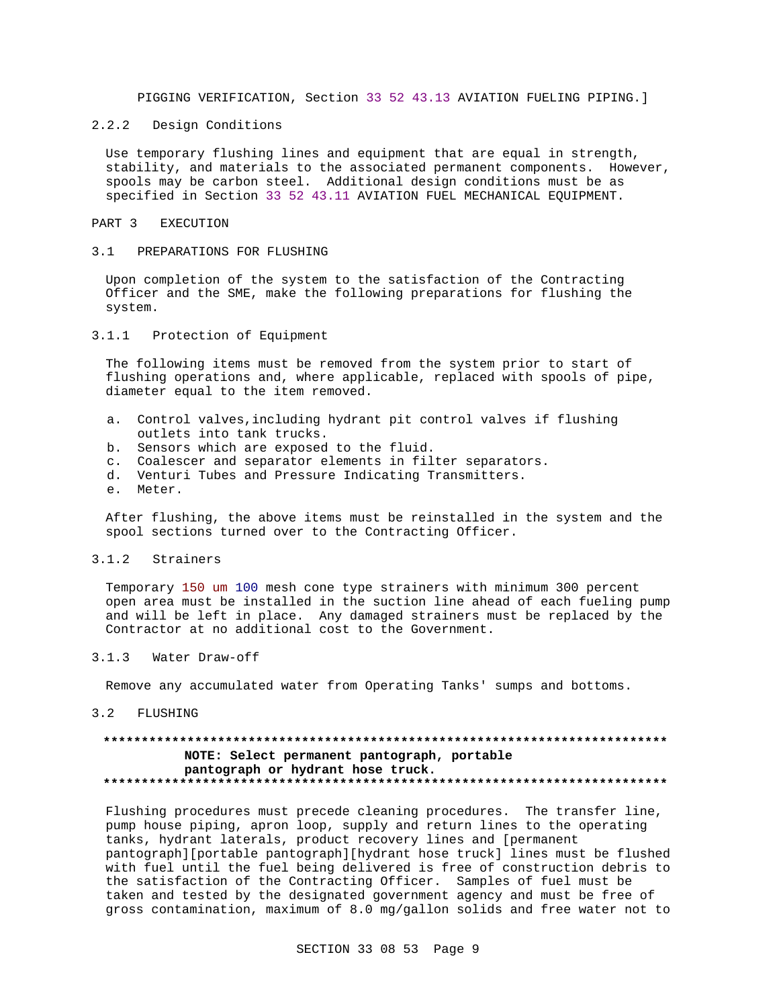PIGGING VERIFICATION, Section 33 52 43.13 AVIATION FUELING PIPING.]

#### $2.2.2$ Design Conditions

Use temporary flushing lines and equipment that are equal in strength, stability, and materials to the associated permanent components. However, spools may be carbon steel. Additional design conditions must be as specified in Section 33 52 43.11 AVIATION FUEL MECHANICAL EQUIPMENT.

#### PART 3 **EXECUTION**

#### $3.1$ PREPARATIONS FOR FLUSHING

Upon completion of the system to the satisfaction of the Contracting Officer and the SME, make the following preparations for flushing the system.

### 3.1.1 Protection of Equipment

The following items must be removed from the system prior to start of flushing operations and, where applicable, replaced with spools of pipe, diameter equal to the item removed.

- a. Control valves, including hydrant pit control valves if flushing outlets into tank trucks.
- b. Sensors which are exposed to the fluid.
- c. Coalescer and separator elements in filter separators.
- d. Venturi Tubes and Pressure Indicating Transmitters.
- e. Meter.

After flushing, the above items must be reinstalled in the system and the spool sections turned over to the Contracting Officer.

#### $3.1.2$ Strainers

Temporary 150 um 100 mesh cone type strainers with minimum 300 percent open area must be installed in the suction line ahead of each fueling pump and will be left in place. Any damaged strainers must be replaced by the Contractor at no additional cost to the Government.

#### $3.1.3$ Water Draw-off

Remove any accumulated water from Operating Tanks' sumps and bottoms.

#### $3.2$ FLUSHING

## NOTE: Select permanent pantograph, portable pantograph or hydrant hose truck.

Flushing procedures must precede cleaning procedures. The transfer line, pump house piping, apron loop, supply and return lines to the operating tanks, hydrant laterals, product recovery lines and [permanent pantograph][portable pantograph][hydrant hose truck] lines must be flushed with fuel until the fuel being delivered is free of construction debris to the satisfaction of the Contracting Officer. Samples of fuel must be taken and tested by the designated government agency and must be free of gross contamination, maximum of 8.0 mg/gallon solids and free water not to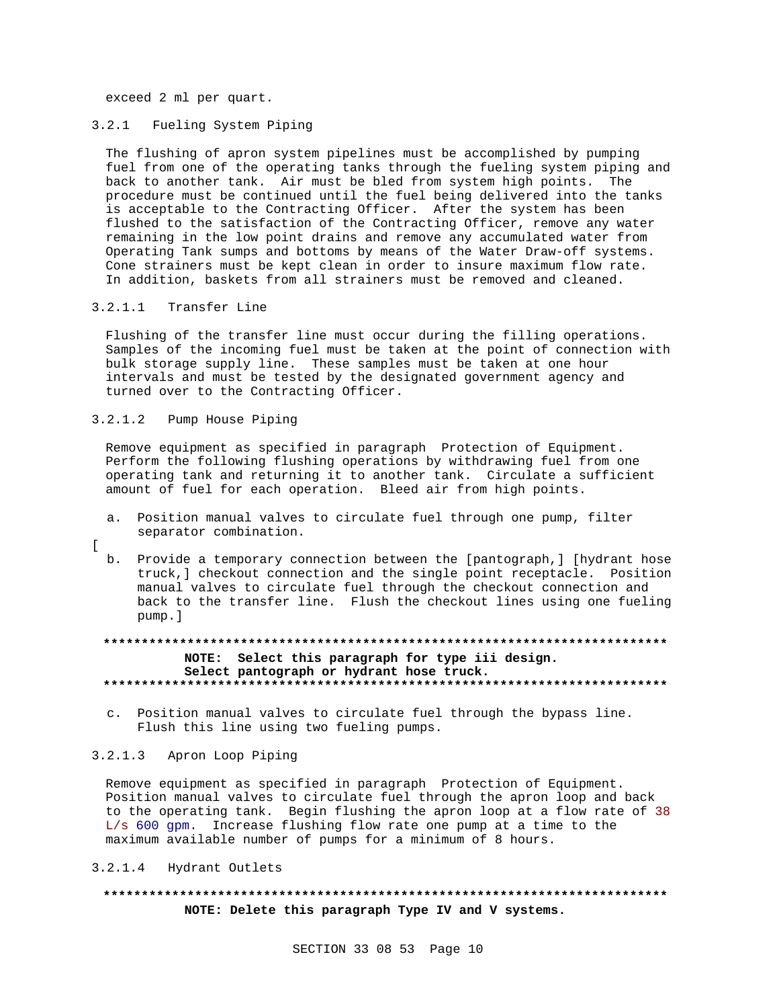exceed 2 ml per quart.

## 3.2.1 Fueling System Piping

The flushing of apron system pipelines must be accomplished by pumping fuel from one of the operating tanks through the fueling system piping and back to another tank. Air must be bled from system high points. The procedure must be continued until the fuel being delivered into the tanks is acceptable to the Contracting Officer. After the system has been flushed to the satisfaction of the Contracting Officer, remove any water remaining in the low point drains and remove any accumulated water from Operating Tank sumps and bottoms by means of the Water Draw-off systems. Cone strainers must be kept clean in order to insure maximum flow rate. In addition, baskets from all strainers must be removed and cleaned.

## 3.2.1.1 Transfer Line

Flushing of the transfer line must occur during the filling operations. Samples of the incoming fuel must be taken at the point of connection with bulk storage supply line. These samples must be taken at one hour intervals and must be tested by the designated government agency and turned over to the Contracting Officer.

## 3.2.1.2 Pump House Piping

Remove equipment as specified in paragraph Protection of Equipment. Perform the following flushing operations by withdrawing fuel from one operating tank and returning it to another tank. Circulate a sufficient amount of fuel for each operation. Bleed air from high points.

- a. Position manual valves to circulate fuel through one pump, filter separator combination.
- [

b. Provide a temporary connection between the [pantograph,] [hydrant hose truck,] checkout connection and the single point receptacle. Position manual valves to circulate fuel through the checkout connection and back to the transfer line. Flush the checkout lines using one fueling pump.]

# **\*\*\*\*\*\*\*\*\*\*\*\*\*\*\*\*\*\*\*\*\*\*\*\*\*\*\*\*\*\*\*\*\*\*\*\*\*\*\*\*\*\*\*\*\*\*\*\*\*\*\*\*\*\*\*\*\*\*\*\*\*\*\*\*\*\*\*\*\*\*\*\*\*\* NOTE: Select this paragraph for type iii design. Select pantograph or hydrant hose truck. \*\*\*\*\*\*\*\*\*\*\*\*\*\*\*\*\*\*\*\*\*\*\*\*\*\*\*\*\*\*\*\*\*\*\*\*\*\*\*\*\*\*\*\*\*\*\*\*\*\*\*\*\*\*\*\*\*\*\*\*\*\*\*\*\*\*\*\*\*\*\*\*\*\***

c. Position manual valves to circulate fuel through the bypass line. Flush this line using two fueling pumps.

## 3.2.1.3 Apron Loop Piping

Remove equipment as specified in paragraph Protection of Equipment. Position manual valves to circulate fuel through the apron loop and back to the operating tank. Begin flushing the apron loop at a flow rate of 38 L/s 600 gpm. Increase flushing flow rate one pump at a time to the maximum available number of pumps for a minimum of 8 hours.

### 3.2.1.4 Hydrant Outlets

# **\*\*\*\*\*\*\*\*\*\*\*\*\*\*\*\*\*\*\*\*\*\*\*\*\*\*\*\*\*\*\*\*\*\*\*\*\*\*\*\*\*\*\*\*\*\*\*\*\*\*\*\*\*\*\*\*\*\*\*\*\*\*\*\*\*\*\*\*\*\*\*\*\*\* NOTE: Delete this paragraph Type IV and V systems.**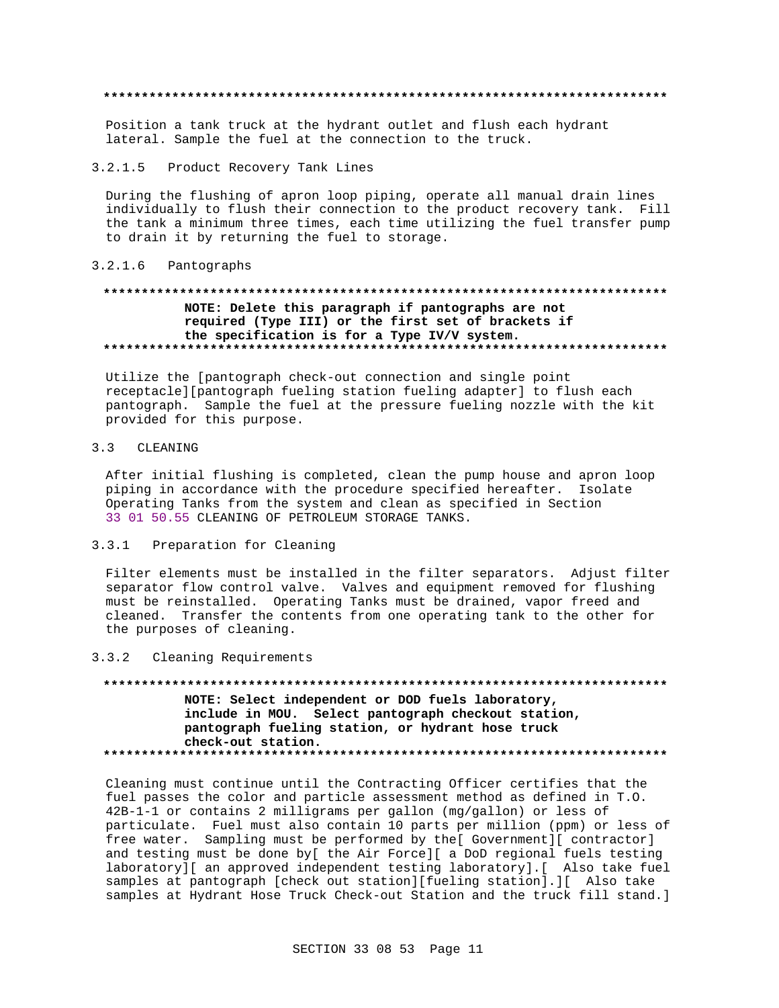Position a tank truck at the hydrant outlet and flush each hydrant lateral. Sample the fuel at the connection to the truck.

#### $3.2.1.5$ Product Recovery Tank Lines

During the flushing of apron loop piping, operate all manual drain lines individually to flush their connection to the product recovery tank. Fill the tank a minimum three times, each time utilizing the fuel transfer pump to drain it by returning the fuel to storage.

#### $3.2.1.6$ Pantographs

## NOTE: Delete this paragraph if pantographs are not required (Type III) or the first set of brackets if the specification is for a Type IV/V system.

Utilize the [pantograph check-out connection and single point receptacle][pantograph fueling station fueling adapter] to flush each pantograph. Sample the fuel at the pressure fueling nozzle with the kit provided for this purpose.

#### $3.3$ CLEANING

After initial flushing is completed, clean the pump house and apron loop piping in accordance with the procedure specified hereafter. Isolate Operating Tanks from the system and clean as specified in Section 33 01 50.55 CLEANING OF PETROLEUM STORAGE TANKS.

#### $3.3.1$ Preparation for Cleaning

Filter elements must be installed in the filter separators. Adjust filter separator flow control valve. Valves and equipment removed for flushing must be reinstalled. Operating Tanks must be drained, vapor freed and cleaned. Transfer the contents from one operating tank to the other for the purposes of cleaning.

### 3.3.2 Cleaning Requirements

## NOTE: Select independent or DOD fuels laboratory, include in MOU. Select pantograph checkout station, pantograph fueling station, or hydrant hose truck check-out station.

Cleaning must continue until the Contracting Officer certifies that the fuel passes the color and particle assessment method as defined in T.O. 42B-1-1 or contains 2 milligrams per gallon (mg/gallon) or less of particulate. Fuel must also contain 10 parts per million (ppm) or less of free water. Sampling must be performed by the[ Government][ contractor] and testing must be done by[ the Air Force][ a DoD regional fuels testing laboratory][ an approved independent testing laboratory].[ Also take fuel samples at pantograph [check out station][fueling station].][ Also take samples at Hydrant Hose Truck Check-out Station and the truck fill stand.]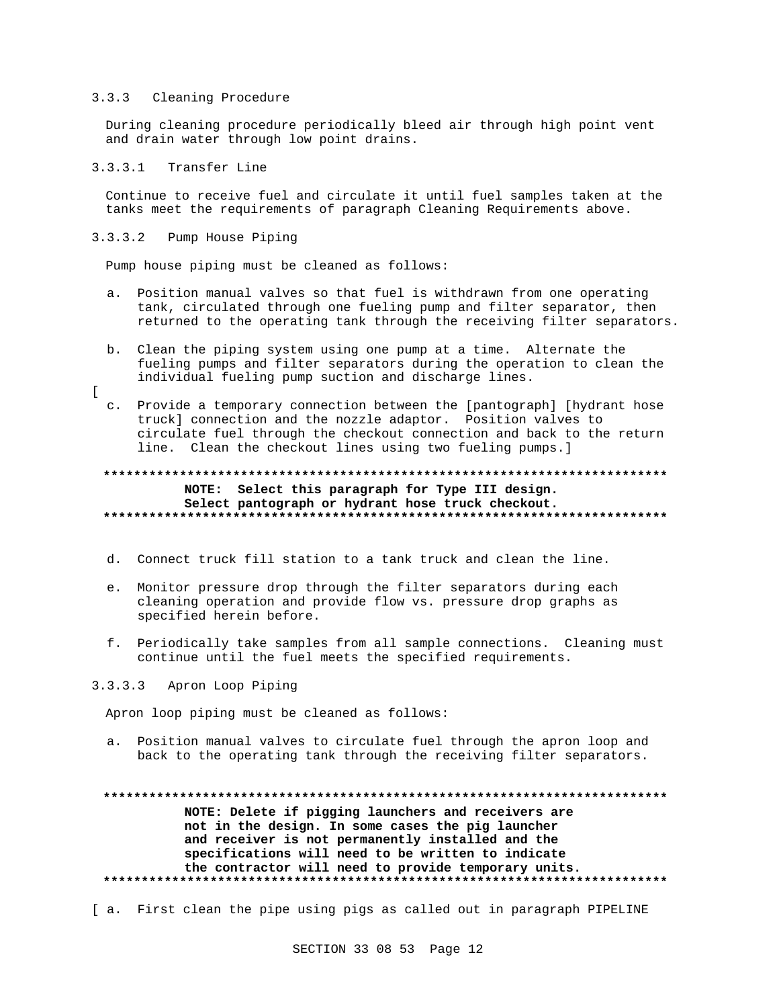### 3.3.3 Cleaning Procedure

During cleaning procedure periodically bleed air through high point vent and drain water through low point drains.

### 3.3.3.1 Transfer Line

 $\Gamma$ 

Continue to receive fuel and circulate it until fuel samples taken at the tanks meet the requirements of paragraph Cleaning Requirements above.

3.3.3.2 Pump House Piping

Pump house piping must be cleaned as follows:

- a. Position manual valves so that fuel is withdrawn from one operating tank, circulated through one fueling pump and filter separator, then returned to the operating tank through the receiving filter separators.
- b. Clean the piping system using one pump at a time. Alternate the fueling pumps and filter separators during the operation to clean the individual fueling pump suction and discharge lines.
- c. Provide a temporary connection between the [pantograph] [hydrant hose truck] connection and the nozzle adaptor. Position valves to circulate fuel through the checkout connection and back to the return line. Clean the checkout lines using two fueling pumps.]

## **\*\*\*\*\*\*\*\*\*\*\*\*\*\*\*\*\*\*\*\*\*\*\*\*\*\*\*\*\*\*\*\*\*\*\*\*\*\*\*\*\*\*\*\*\*\*\*\*\*\*\*\*\*\*\*\*\*\*\*\*\*\*\*\*\*\*\*\*\*\*\*\*\*\* NOTE: Select this paragraph for Type III design. Select pantograph or hydrant hose truck checkout. \*\*\*\*\*\*\*\*\*\*\*\*\*\*\*\*\*\*\*\*\*\*\*\*\*\*\*\*\*\*\*\*\*\*\*\*\*\*\*\*\*\*\*\*\*\*\*\*\*\*\*\*\*\*\*\*\*\*\*\*\*\*\*\*\*\*\*\*\*\*\*\*\*\***

- d. Connect truck fill station to a tank truck and clean the line.
- e. Monitor pressure drop through the filter separators during each cleaning operation and provide flow vs. pressure drop graphs as specified herein before.
- f. Periodically take samples from all sample connections. Cleaning must continue until the fuel meets the specified requirements.

# 3.3.3.3 Apron Loop Piping

Apron loop piping must be cleaned as follows:

a. Position manual valves to circulate fuel through the apron loop and back to the operating tank through the receiving filter separators.

**\*\*\*\*\*\*\*\*\*\*\*\*\*\*\*\*\*\*\*\*\*\*\*\*\*\*\*\*\*\*\*\*\*\*\*\*\*\*\*\*\*\*\*\*\*\*\*\*\*\*\*\*\*\*\*\*\*\*\*\*\*\*\*\*\*\*\*\*\*\*\*\*\*\* NOTE: Delete if pigging launchers and receivers are not in the design. In some cases the pig launcher and receiver is not permanently installed and the specifications will need to be written to indicate the contractor will need to provide temporary units. \*\*\*\*\*\*\*\*\*\*\*\*\*\*\*\*\*\*\*\*\*\*\*\*\*\*\*\*\*\*\*\*\*\*\*\*\*\*\*\*\*\*\*\*\*\*\*\*\*\*\*\*\*\*\*\*\*\*\*\*\*\*\*\*\*\*\*\*\*\*\*\*\*\***

[ a. First clean the pipe using pigs as called out in paragraph PIPELINE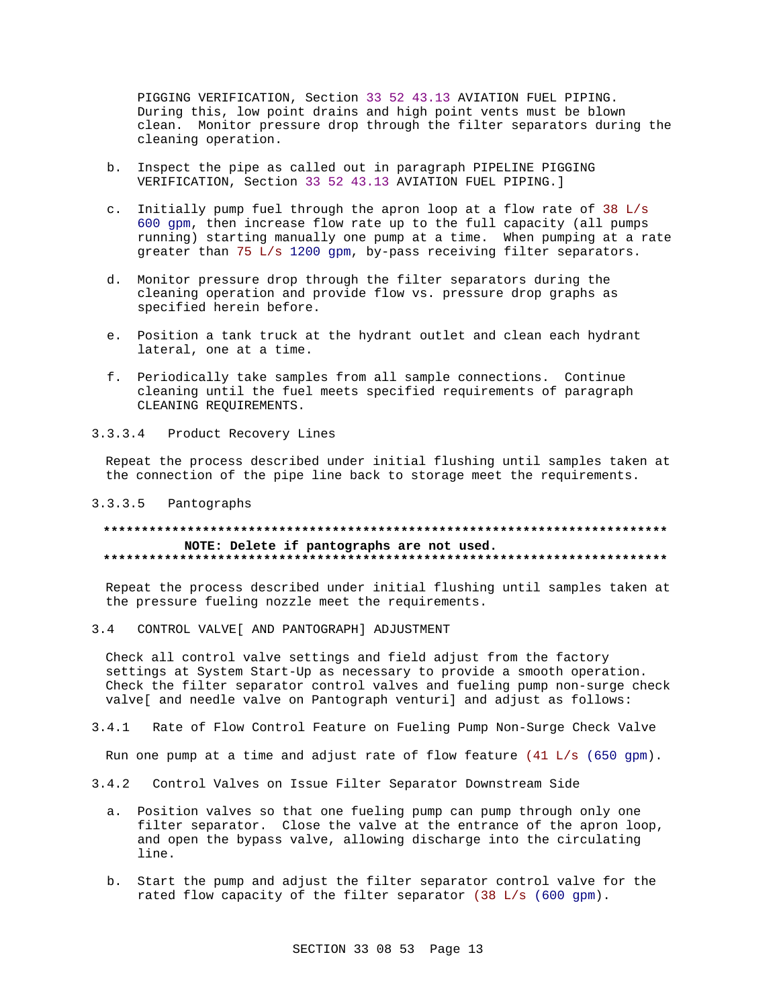PIGGING VERIFICATION, Section 33 52 43.13 AVIATION FUEL PIPING. During this, low point drains and high point vents must be blown clean. Monitor pressure drop through the filter separators during the cleaning operation.

- b. Inspect the pipe as called out in paragraph PIPELINE PIGGING VERIFICATION, Section 33 52 43.13 AVIATION FUEL PIPING.]
- c. Initially pump fuel through the apron loop at a flow rate of 38 L/s 600 gpm, then increase flow rate up to the full capacity (all pumps running) starting manually one pump at a time. When pumping at a rate greater than 75 L/s 1200 gpm, by-pass receiving filter separators.
- d. Monitor pressure drop through the filter separators during the cleaning operation and provide flow vs. pressure drop graphs as specified herein before.
- e. Position a tank truck at the hydrant outlet and clean each hydrant lateral, one at a time.
- f. Periodically take samples from all sample connections. Continue cleaning until the fuel meets specified requirements of paragraph CLEANING REQUIREMENTS.
- $3.3.3.4$ Product Recovery Lines

Repeat the process described under initial flushing until samples taken at the connection of the pipe line back to storage meet the requirements.

#### $3.3.3.5$ Pantographs

### NOTE: Delete if pantographs are not used.

Repeat the process described under initial flushing until samples taken at the pressure fueling nozzle meet the requirements.

 $3.4$ CONTROL VALVE [ AND PANTOGRAPH ] ADJUSTMENT

Check all control valve settings and field adjust from the factory settings at System Start-Up as necessary to provide a smooth operation. Check the filter separator control valves and fueling pump non-surge check valve[ and needle valve on Pantograph venturi] and adjust as follows:

 $341$ Rate of Flow Control Feature on Fueling Pump Non-Surge Check Valve

Run one pump at a time and adjust rate of flow feature (41 L/s (650 gpm).

- $3.4.2$ Control Valves on Issue Filter Separator Downstream Side
	- a. Position valves so that one fueling pump can pump through only one filter separator. Close the valve at the entrance of the apron loop, and open the bypass valve, allowing discharge into the circulating line.
	- b. Start the pump and adjust the filter separator control valve for the rated flow capacity of the filter separator (38 L/s (600 gpm).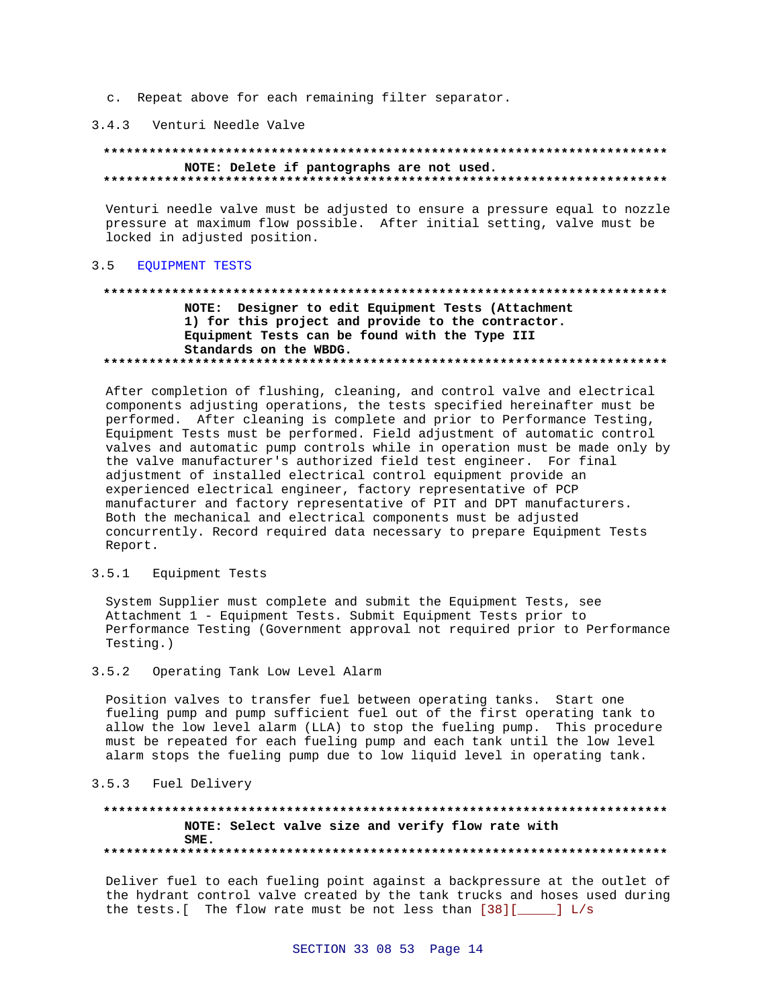c. Repeat above for each remaining filter separator.

### 3.4.3 Venturi Needle Valve

### NOTE: Delete if pantographs are not used.

Venturi needle valve must be adjusted to ensure a pressure equal to nozzle pressure at maximum flow possible. After initial setting, valve must be locked in adjusted position.

#### $3.5$ **EOUIPMENT TESTS**

# NOTE: Designer to edit Equipment Tests (Attachment 1) for this project and provide to the contractor. Equipment Tests can be found with the Type III Standards on the WBDG.

After completion of flushing, cleaning, and control valve and electrical components adjusting operations, the tests specified hereinafter must be performed. After cleaning is complete and prior to Performance Testing, Equipment Tests must be performed. Field adjustment of automatic control valves and automatic pump controls while in operation must be made only by the valve manufacturer's authorized field test engineer. For final adjustment of installed electrical control equipment provide an experienced electrical engineer, factory representative of PCP manufacturer and factory representative of PIT and DPT manufacturers. Both the mechanical and electrical components must be adjusted concurrently. Record required data necessary to prepare Equipment Tests Report.

#### $3.5.1$ Equipment Tests

System Supplier must complete and submit the Equipment Tests, see Attachment 1 - Equipment Tests. Submit Equipment Tests prior to Performance Testing (Government approval not required prior to Performance Testing.)

#### $3.5.2$ Operating Tank Low Level Alarm

Position valves to transfer fuel between operating tanks. Start one fueling pump and pump sufficient fuel out of the first operating tank to allow the low level alarm (LLA) to stop the fueling pump. This procedure must be repeated for each fueling pump and each tank until the low level alarm stops the fueling pump due to low liquid level in operating tank.

### 3.5.3 Fuel Delivery

## NOTE: Select valve size and verify flow rate with SME.

Deliver fuel to each fueling point against a backpressure at the outlet of the hydrant control valve created by the tank trucks and hoses used during the tests. [ The flow rate must be not less than  $[38]$  [ $\_\_\_\_\$ ] L/s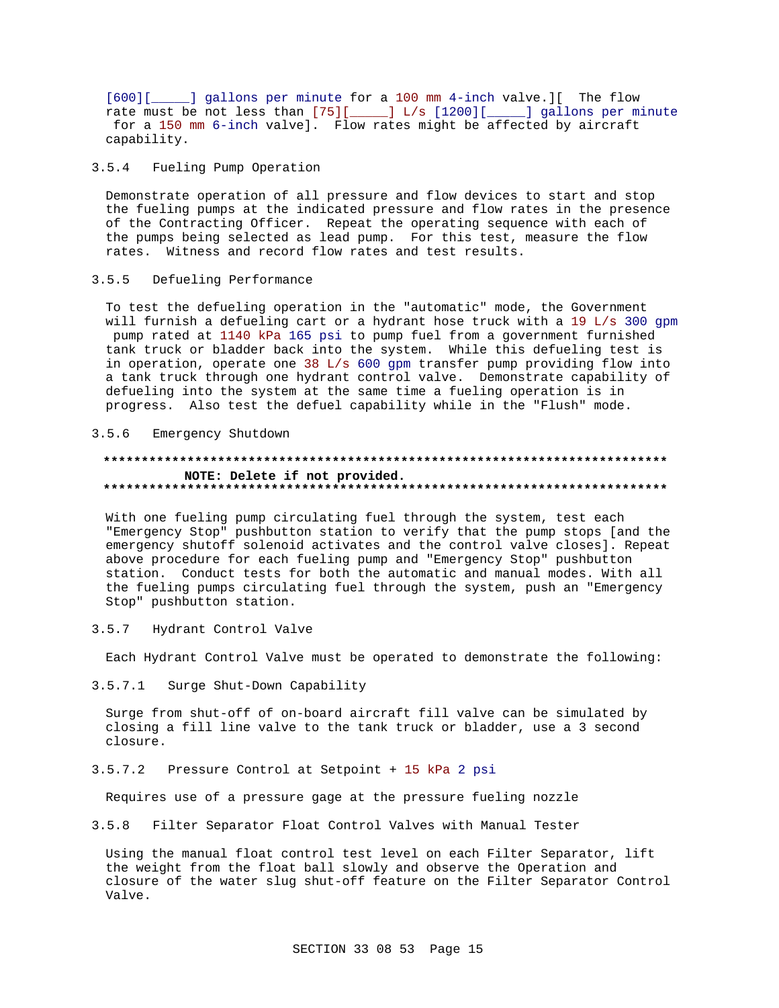[600][\_\_\_\_\_] gallons per minute for a 100 mm 4-inch valve.][ The flow rate must be not less than  $[75]$ [ $\_\_\_\_\$ ] L/s [1200][ $\_\_\_\_\$ ] gallons per minute for a 150 mm 6-inch valve]. Flow rates might be affected by aircraft capability.

#### $3.5.4$ Fueling Pump Operation

Demonstrate operation of all pressure and flow devices to start and stop the fueling pumps at the indicated pressure and flow rates in the presence of the Contracting Officer. Repeat the operating sequence with each of the pumps being selected as lead pump. For this test, measure the flow rates. Witness and record flow rates and test results.

#### Defueling Performance  $3.5.5$

To test the defueling operation in the "automatic" mode, the Government will furnish a defueling cart or a hydrant hose truck with a 19 L/s 300 gpm pump rated at 1140 kPa 165 psi to pump fuel from a government furnished tank truck or bladder back into the system. While this defueling test is in operation, operate one 38 L/s 600 gpm transfer pump providing flow into a tank truck through one hydrant control valve. Demonstrate capability of defueling into the system at the same time a fueling operation is in progress. Also test the defuel capability while in the "Flush" mode.

#### Emergency Shutdown  $3.5.6$

### NOTE: Delete if not provided.

With one fueling pump circulating fuel through the system, test each "Emergency Stop" pushbutton station to verify that the pump stops [and the emergency shutoff solenoid activates and the control valve closes]. Repeat above procedure for each fueling pump and "Emergency Stop" pushbutton station. Conduct tests for both the automatic and manual modes. With all the fueling pumps circulating fuel through the system, push an "Emergency Stop" pushbutton station.

#### $3.5.7$ Hydrant Control Valve

Each Hydrant Control Valve must be operated to demonstrate the following:

#### $3.5.7.1$ Surge Shut-Down Capability

Surge from shut-off of on-board aircraft fill valve can be simulated by closing a fill line valve to the tank truck or bladder, use a 3 second closure.

#### $3.5.7.2$ Pressure Control at Setpoint + 15 kPa 2 psi

Requires use of a pressure gage at the pressure fueling nozzle

 $3.5.8$ Filter Separator Float Control Valves with Manual Tester

Using the manual float control test level on each Filter Separator, lift the weight from the float ball slowly and observe the Operation and closure of the water slug shut-off feature on the Filter Separator Control Valve.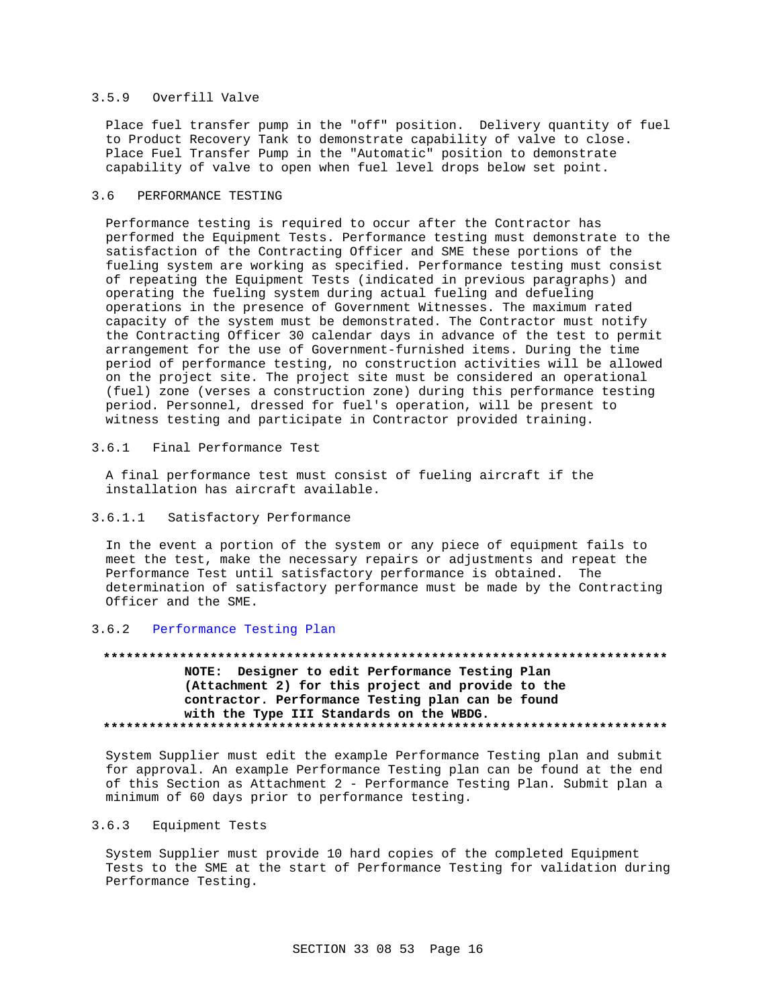### 3.5.9 Overfill Valve

Place fuel transfer pump in the "off" position. Delivery quantity of fuel to Product Recovery Tank to demonstrate capability of valve to close. Place Fuel Transfer Pump in the "Automatic" position to demonstrate capability of valve to open when fuel level drops below set point.

## 3.6 PERFORMANCE TESTING

Performance testing is required to occur after the Contractor has performed the Equipment Tests. Performance testing must demonstrate to the satisfaction of the Contracting Officer and SME these portions of the fueling system are working as specified. Performance testing must consist of repeating the Equipment Tests (indicated in previous paragraphs) and operating the fueling system during actual fueling and defueling operations in the presence of Government Witnesses. The maximum rated capacity of the system must be demonstrated. The Contractor must notify the Contracting Officer 30 calendar days in advance of the test to permit arrangement for the use of Government-furnished items. During the time period of performance testing, no construction activities will be allowed on the project site. The project site must be considered an operational (fuel) zone (verses a construction zone) during this performance testing period. Personnel, dressed for fuel's operation, will be present to witness testing and participate in Contractor provided training.

### 3.6.1 Final Performance Test

A final performance test must consist of fueling aircraft if the installation has aircraft available.

### 3.6.1.1 Satisfactory Performance

In the event a portion of the system or any piece of equipment fails to meet the test, make the necessary repairs or adjustments and repeat the Performance Test until satisfactory performance is obtained. The determination of satisfactory performance must be made by the Contracting Officer and the SME.

## 3.6.2 Performance Testing Plan

# **\*\*\*\*\*\*\*\*\*\*\*\*\*\*\*\*\*\*\*\*\*\*\*\*\*\*\*\*\*\*\*\*\*\*\*\*\*\*\*\*\*\*\*\*\*\*\*\*\*\*\*\*\*\*\*\*\*\*\*\*\*\*\*\*\*\*\*\*\*\*\*\*\*\* NOTE: Designer to edit Performance Testing Plan**

**(Attachment 2) for this project and provide to the contractor. Performance Testing plan can be found with the Type III Standards on the WBDG. \*\*\*\*\*\*\*\*\*\*\*\*\*\*\*\*\*\*\*\*\*\*\*\*\*\*\*\*\*\*\*\*\*\*\*\*\*\*\*\*\*\*\*\*\*\*\*\*\*\*\*\*\*\*\*\*\*\*\*\*\*\*\*\*\*\*\*\*\*\*\*\*\*\***

System Supplier must edit the example Performance Testing plan and submit for approval. An example Performance Testing plan can be found at the end of this Section as Attachment 2 - Performance Testing Plan. Submit plan a minimum of 60 days prior to performance testing.

### 3.6.3 Equipment Tests

System Supplier must provide 10 hard copies of the completed Equipment Tests to the SME at the start of Performance Testing for validation during Performance Testing.